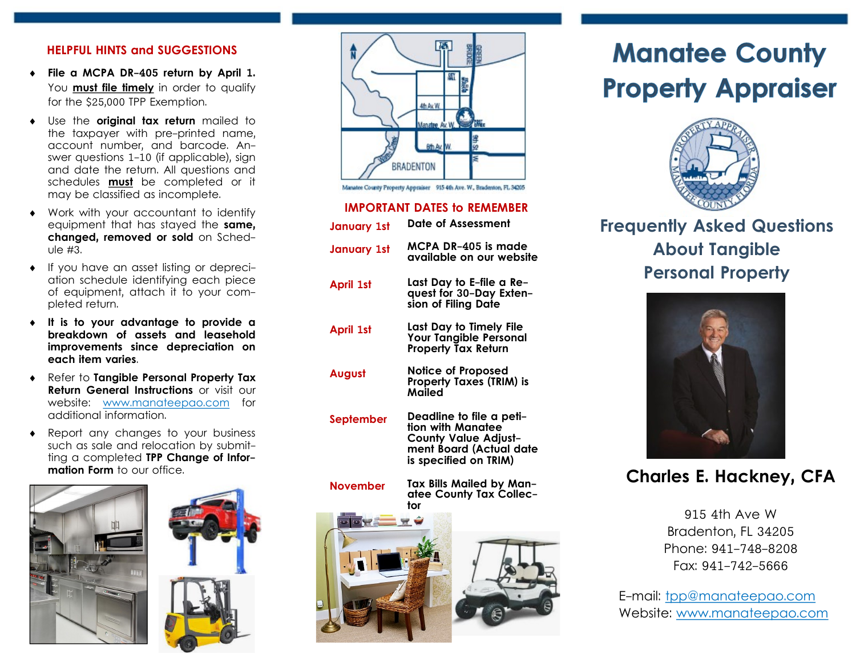#### HELPFUL HINTS and SUGGESTIONS

- ¨ File a MCPA DR-405 return by April 1. You <u>**must file timely**</u> in order to qualify for the \$25,000 TPP Exemption.
- Use the original tax return mailed to the taxpayer with pre-printed name, account number, and barcode. An- swer questions 1-10 (if applicable), sign and date the return. All questions and schedules <u>**must**</u> be completed or it may be classified as incomplete.
- Work with your accountant to identify equipment that has stayed the **same,**  changed, removed or sold on Sched-ule #3.
- If you have an asset listing or depreci- of equipment, attach it to your com- pleted return. ation schedule identifying each piece
- It is to your advantage to provide a breakdown of assets and leasehold improvements since depreciation on each item varies.
- Refer to Tangible Personal Property Tax Return General Instructions or visit our website: <www.manateepao.com> for additional information.
- Report any changes to your business such as sale and relocation by submitting a completed **TPP Change of Information Form** to our office.







Manatee County Property Appealser 915 4th Ave. W., Bradenton, FL 34205

#### IMPORTANT DATES to REMEMBER

| <b>January 1st</b> | <b>Date of Assessment</b>                                                                                                        |
|--------------------|----------------------------------------------------------------------------------------------------------------------------------|
| January 1st        | MCPA DR-405 is made<br>available on our website                                                                                  |
| April 1st          | Last Day to E-file a Re-<br>quest for 30-Day Exten-<br>sion of Filing Date                                                       |
| April 1st          | Last Day to Timely File<br><b>Your Tangible Personal</b><br><b>Property Tax Return</b>                                           |
| <b>August</b>      | Notice of Proposed<br><b>Property Taxes (TRIM) is</b><br>Mailed                                                                  |
| September          | Deadline to file a peti-<br>tion with Manatee<br><b>County Value Adjust-</b><br>ment Board (Actual date<br>is specified on TRIM) |

Tax Bills Mailed by Manatee County Tax Collector November



# Manatee County Property Appraiser



 Frequently Asked Questions About Tangible Personal Property



## Charles E. Hackney, CFA

 915 4th Ave W Bradenton, FL 34205 Phone: 941-748-8208 Fax: 941-742-5666

E-mail: [tpp@manateepao.com](mailto:tpp@manateepao.com) Website: <www.manateepao.com>